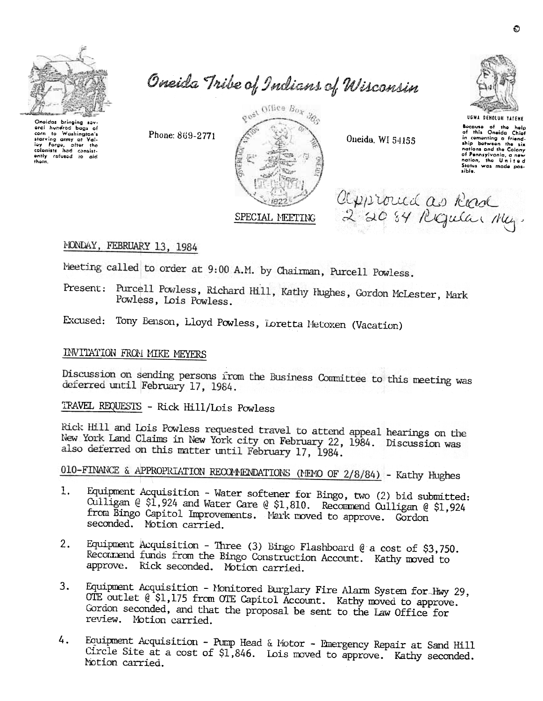

oral hundrod bags of corn to Washington's

starving army of Val-<br>lay Forge, after the<br>colonists had consist-<br>ently railwed to aid

thom.

Oneida Tribe of Indians of Wisconsin



Oneida, WI 54155

approved as Read

2 20 84 Regular May.



Bocause of the help<br>of this Oneida Chief<br>in comenting a friend-<br>ship between the six anip between the six<br>nations and the Colony<br>of Pennsylvania, a new<br>nation, the United<br>Siatus was made pos-<br>sible.

MONDAY, FEBRUARY 13, 1984

Meeting called to order at 9:00 A.M. by Chairman, Purcell Powless.

Present: Purcell Powless, Richard Hill, Kathy Hughes, Gordon McLester, Mark Powless, Lois Powless.

Excused: Tony Benson, Lloyd Powless, Loretta Metoxen (Vacation)

## INVITATION FROM MIKE MEYERS

Discussion on sending persons from the Business Committee to this meeting was deferred until February 17, 1984.

TRAVEL REQUESTS - Rick Hill/Lois Powless

Phone: 869-2771

Rick Hill and Lois Powless requested travel to attend appeal hearings on the New York Land Claims in New York city on February 22, 1984. Discussion was also deferred on this matter until February 17, 1984.

010-FINANCE & APPROPRIATION RECOMMENDATIONS (MEMO OF 2/8/84) - Kathy Hughes

- Equipment Acquisition Water softener for Bingo, two (2) bid submitted: 1. Culligan @ \$1,924 and Water Care @ \$1,810. Recommend Culligan @ \$1,924 from Bingo Capitol Improvements. Mark moved to approve. Gordon seconded. Motion carried.
- Equipment Acquisition Three (3) Bingo Flashboard  $\mathcal{C}$  a cost of \$3,750.  $2.$ Recommend funds from the Bingo Construction Account. Kathy moved to approve. Rick seconded. Motion carried.
- Equipment Acquisition Monitored Burglary Fire Alarm System for Hwy 29, 3. OTE outlet @ \$1,175 from OTE Capitol Account. Kathy moved to approve. Gordon seconded, and that the proposal be sent to the Law Office for review. Motion carried.
- 4. Equipment Acquisition - Pump Head & Motor - Imergency Repair at Sand Hill Circle Site at a cost of \$1,846. Lois moved to approve. Kathy seconded. Notion carried.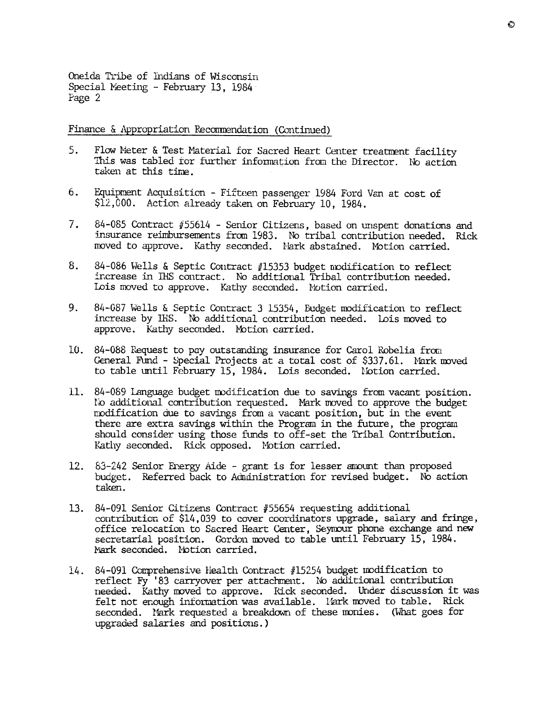Oneida Tribe of Indians of Wisconsin Special Meeting - February 13, 1984 Page 2

Finance & Appropriation Recommendation (Continued)

- 5. Flow Neter & Test Material for Sacred Heart Center treatment facility This was tabled for further information from the Director. No action taken at this time.
- 6. Equipment Acquisition Fifteen passenger 1984 Ford Van at cost of  $$12,000$ . Action already taken on February 10, 1984.
- 7. 84-085 Contract  $#55614$  Senior Citizens, based on unspent donations and insurance reimbursements from 1983. No tribal contribution needed. Rick moved to approve. Kathy seconded. Nark abstained. Motion carried.
- 8. 84-086 Wells & Septic Contract #15353 budget nudification to reflect increase in IHS contract. No additional Tribal contribution needed. Lois moved to approve. Kathy seconded. Notion carried.
- 9. 84-087 Wells & Septic Contract 3 15354, Budget modification to reflect increase by IHS. No additional contribution needed. Lois moved to approve. Kathy seconded. Motion carried.
- 10. 84-088 Request to pay outstanding insurance for Carol Robelia from General Fund - Special Projects at a total cost of \$337.61. Mark moved to table until February 15, 1984. Lois seconded. Notion carried.
- 11. 84-089 Language buaget modification due to savings from vacant position due to savings from a vecant position, but in the event<br>modification due to savings fram a vacant position, but in the event<br>free are extra saving No additional contribution requested. Mark moved to approve the budget modification due to savings from a vacant position, but in the event there are extra savings within the Program in the future, the program should consider using those funds to off-set the Tribal Contribution. Kathy seconded. Rick opposed. Motion carried.
	- 12. 83-242 Senior Energy Aide grant is for lesser amount than proposed budget. Referred back to Administration for revised budget. No action taken.
	- contribution of \$14,039 to cover coordinators upgrade, salary and fringe, office relocation to Sacred Heart Center, Seymour phone exchange and new secretarial position. Gordon moved to table until February 15, 1984. Mark seconded. Notion carried.
- 13. 84-091 Senior Citizens Contract #55654 requesting addition<br>contribution of \$14,039 to cover coordinators upgrade, sai<br>office relocation to Sacred Beart Center, Seymour phone ex<br>secretarial position. Gordon moved to tab Ii. 84-091 Comprehensive Health Contract /115254 budget modification to reflect Fy '83 carryover per attachment. No additional contribution needed. Kathy moved to approve. Kick seconded. Under discussion it was felt not enough information was available. Lark moved to table. Rick seconded. Mark requested a breakdown of these monies. (What goes for upgraded salaries and positions.)